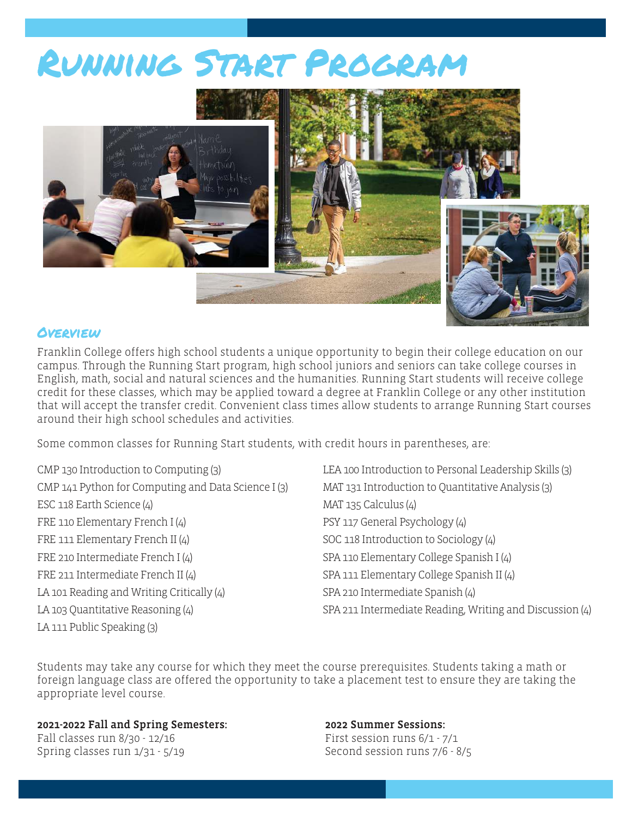# Running Start Program



### *OVERVIEW*

Franklin College offers high school students a unique opportunity to begin their college education on our campus. Through the Running Start program, high school juniors and seniors can take college courses in English, math, social and natural sciences and the humanities. Running Start students will receive college credit for these classes, which may be applied toward a degree at Franklin College or any other institution that will accept the transfer credit. Convenient class times allow students to arrange Running Start courses around their high school schedules and activities.

Some common classes for Running Start students, with credit hours in parentheses, are:

CMP 130 Introduction to Computing (3) CMP 141 Python for Computing and Data Science I (3) ESC 118 Earth Science (4) FRE 110 Elementary French I (4) FRE 111 Elementary French II (4) FRE 210 Intermediate French I (4) FRE 211 Intermediate French II (4) LA 101 Reading and Writing Critically (4) LA 103 Quantitative Reasoning (4)

LA 111 Public Speaking (3)

LEA 100 Introduction to Personal Leadership Skills (3) MAT 131 Introduction to Quantitative Analysis (3) MAT 135 Calculus (4) PSY 117 General Psychology (4) SOC 118 Introduction to Sociology (4) SPA 110 Elementary College Spanish I (4) SPA 111 Elementary College Spanish II (4) SPA 210 Intermediate Spanish (4) SPA 211 Intermediate Reading, Writing and Discussion (4)

Students may take any course for which they meet the course prerequisites. Students taking a math or foreign language class are offered the opportunity to take a placement test to ensure they are taking the appropriate level course.

#### 2021-2022 Fall and Spring Semesters:

Fall classes run 8/30 - 12/16 Spring classes run 1/31 - 5/19

#### 2022 Summer Sessions:

First session runs 6/1 - 7/1 Second session runs 7/6 - 8/5